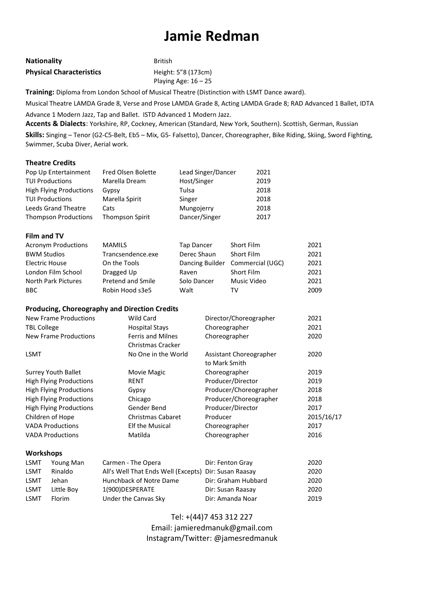## **Jamie Redman**

| <b>Nationality</b>              | <b>British</b>         |
|---------------------------------|------------------------|
| <b>Physical Characteristics</b> | Height: 5"8 (173cm)    |
|                                 | Playing Age: $16 - 25$ |

**Training:** Diploma from London School of Musical Theatre (Distinction with LSMT Dance award).

Musical Theatre LAMDA Grade 8, Verse and Prose LAMDA Grade 8, Acting LAMDA Grade 8; RAD Advanced 1 Ballet, IDTA

Advance 1 Modern Jazz, Tap and Ballet. ISTD Advanced 1 Modern Jazz.

**Accents & Dialects**: Yorkshire, RP, Cockney, American (Standard, New York, Southern). Scottish, German, Russian

**Skills:** Singing – Tenor (G2-C5-Belt, Eb5 – Mix, G5- Falsetto), Dancer, Choreographer, Bike Riding, Skiing, Sword Fighting, Swimmer, Scuba Diver, Aerial work.

## **Theatre Credits**

| Pop Up Entertainment           | Fred Olsen Bolette | Lead Singer/Dancer | 2021 |
|--------------------------------|--------------------|--------------------|------|
| <b>TUI Productions</b>         | Marella Dream      | Host/Singer        | 2019 |
| <b>High Flying Productions</b> | Gypsy              | Tulsa              | 2018 |
| <b>TUI Productions</b>         | Marella Spirit     | Singer             | 2018 |
| <b>Leeds Grand Theatre</b>     | Cats               | Mungojerry         | 2018 |
| <b>Thompson Productions</b>    | Thompson Spirit    | Dancer/Singer      | 2017 |

## **Film and TV**

| <b>Acronym Productions</b> | <b>MAMILS</b>            | Tap Dancer  | Short Film                       | 2021 |
|----------------------------|--------------------------|-------------|----------------------------------|------|
| <b>BWM Studios</b>         | Trancsendence.exe        | Derec Shaun | Short Film                       | 2021 |
| Electric House             | On the Tools             |             | Dancing Builder Commercial (UGC) | 2021 |
| London Film School         | Dragged Up               | Raven       | Short Film                       | 2021 |
| North Park Pictures        | <b>Pretend and Smile</b> | Solo Dancer | Music Video                      | 2021 |
| BBC.                       | Robin Hood s3e5          | Walt        | TV                               | 2009 |

## **Producing, Choreography and Direction Credits**

|                                | <b>New Frame Productions</b>   | Wild Card                                     | Director/Choreographer                   | 2021       |
|--------------------------------|--------------------------------|-----------------------------------------------|------------------------------------------|------------|
| <b>TBL College</b>             |                                | <b>Hospital Stays</b>                         | Choreographer                            | 2021       |
|                                | New Frame Productions          | <b>Ferris and Milnes</b><br>Christmas Cracker | Choreographer                            | 2020       |
| <b>LSMT</b>                    |                                | No One in the World                           | Assistant Choreographer<br>to Mark Smith | 2020       |
|                                | <b>Surrey Youth Ballet</b>     | Movie Magic                                   | Choreographer                            | 2019       |
| High Flying Productions        |                                | <b>RENT</b>                                   | Producer/Director                        | 2019       |
| <b>High Flying Productions</b> |                                | Gypsy                                         | Producer/Choreographer                   | 2018       |
|                                | <b>High Flying Productions</b> | Chicago                                       | Producer/Choreographer                   | 2018       |
|                                | <b>High Flying Productions</b> | Gender Bend                                   | Producer/Director                        | 2017       |
|                                | Children of Hope               | <b>Christmas Cabaret</b>                      | Producer                                 | 2015/16/17 |
|                                | <b>VADA Productions</b>        | <b>Elf the Musical</b>                        | Choreographer                            | 2017       |
|                                | <b>VADA Productions</b>        | Matilda                                       | Choreographer                            | 2016       |
| <b>Workshops</b>               |                                |                                               |                                          |            |
| LSMT                           | Young Man                      | Carmen - The Opera                            | Dir: Fenton Gray                         | 2020       |
| <b>LSMT</b>                    | Rinaldo                        | All's Well That Ends Well (Excepts)           | Dir: Susan Raasay                        | 2020       |
| <b>LSMT</b>                    | Jehan                          | Hunchback of Notre Dame                       | Dir: Graham Hubbard                      | 2020       |
| LSMT                           | Little Boy                     | 1(900) DESPERATE                              | Dir: Susan Raasay                        | 2020       |
| <b>LSMT</b>                    | Florim                         | Under the Canvas Sky                          | Dir: Amanda Noar                         | 2019       |

Tel: +(44)7 453 312 227 Email: jamieredmanuk@gmail.com Instagram/Twitter: @jamesredmanuk